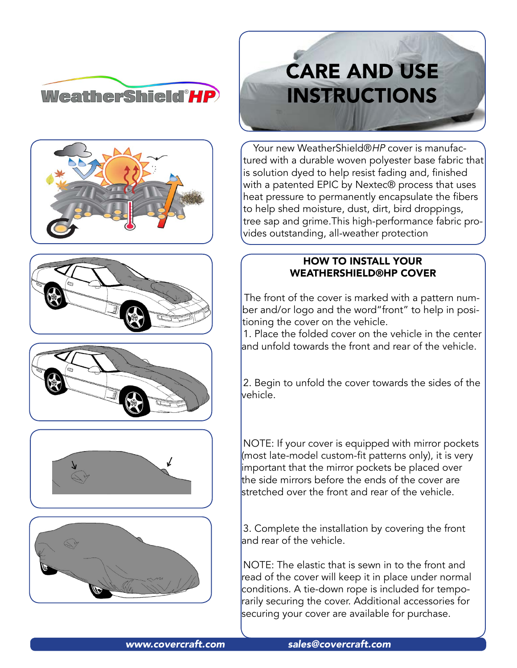











# **CARE AND USE INSTRUCTIONS**

Your new WeatherShield®HP cover is manufactured with a durable woven polyester base fabric that is solution dyed to help resist fading and, finished with a patented EPIC by Nextec® process that uses heat pressure to permanently encapsulate the fibers to help shed moisture, dust, dirt, bird droppings, tree sap and grime.This high-performance fabric provides outstanding, all-weather protection

## HOW TO INSTALL YOUR WEATHERSHIELD®HP COVER

The front of the cover is marked with a pattern number and/or logo and the word"front" to help in positioning the cover on the vehicle.

1. Place the folded cover on the vehicle in the center and unfold towards the front and rear of the vehicle.

2. Begin to unfold the cover towards the sides of the vehicle.

NOTE: If your cover is equipped with mirror pockets (most late-model custom-fit patterns only), it is very important that the mirror pockets be placed over the side mirrors before the ends of the cover are stretched over the front and rear of the vehicle.

3. Complete the installation by covering the front and rear of the vehicle.

NOTE: The elastic that is sewn in to the front and read of the cover will keep it in place under normal conditions. A tie-down rope is included for temporarily securing the cover. Additional accessories for securing your cover are available for purchase.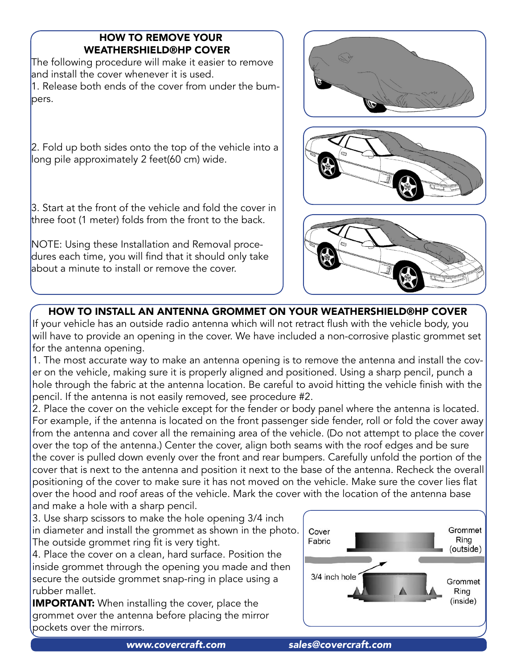## HOW TO REMOVE YOUR WEATHERSHIELD®HP COVER

The following procedure will make it easier to remove and install the cover whenever it is used. 1. Release both ends of the cover from under the bumpers.

2. Fold up both sides onto the top of the vehicle into a long pile approximately 2 feet(60 cm) wide.

3. Start at the front of the vehicle and fold the cover in three foot (1 meter) folds from the front to the back.

NOTE: Using these Installation and Removal procedures each time, you will find that it should only take about a minute to install or remove the cover.







## HOW TO INSTALL AN ANTENNA GROMMET ON YOUR WEATHERSHIELD®HP COVER

If your vehicle has an outside radio antenna which will not retract flush with the vehicle body, you will have to provide an opening in the cover. We have included a non-corrosive plastic grommet set for the antenna opening.

1. The most accurate way to make an antenna opening is to remove the antenna and install the cover on the vehicle, making sure it is properly aligned and positioned. Using a sharp pencil, punch a hole through the fabric at the antenna location. Be careful to avoid hitting the vehicle finish with the pencil. If the antenna is not easily removed, see procedure #2.

2. Place the cover on the vehicle except for the fender or body panel where the antenna is located. For example, if the antenna is located on the front passenger side fender, roll or fold the cover away from the antenna and cover all the remaining area of the vehicle. (Do not attempt to place the cover over the top of the antenna.) Center the cover, align both seams with the roof edges and be sure the cover is pulled down evenly over the front and rear bumpers. Carefully unfold the portion of the cover that is next to the antenna and position it next to the base of the antenna. Recheck the overall positioning of the cover to make sure it has not moved on the vehicle. Make sure the cover lies flat over the hood and roof areas of the vehicle. Mark the cover with the location of the antenna base and make a hole with a sharp pencil.

3. Use sharp scissors to make the hole opening 3/4 inch in diameter and install the grommet as shown in the photo. The outside grommet ring fit is very tight.

4. Place the cover on a clean, hard surface. Position the inside grommet through the opening you made and then secure the outside grommet snap-ring in place using a rubber mallet.

**IMPORTANT:** When installing the cover, place the grommet over the antenna before placing the mirror pockets over the mirrors.

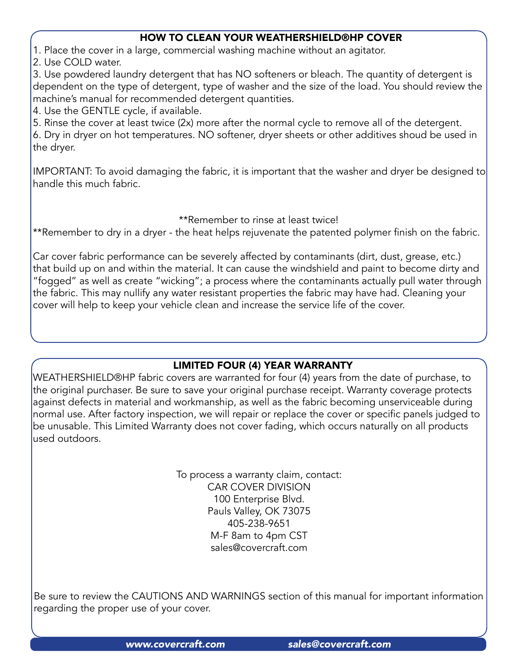#### HOW TO CLEAN YOUR WEATHERSHIELD®HP COVER

1. Place the cover in a large, commercial washing machine without an agitator.

2. Use COLD water.

3. Use powdered laundry detergent that has NO softeners or bleach. The quantity of detergent is dependent on the type of detergent, type of washer and the size of the load. You should review the machine's manual for recommended detergent quantities.

4. Use the GENTLE cycle, if available.

5. Rinse the cover at least twice (2x) more after the normal cycle to remove all of the detergent.

6. Dry in dryer on hot temperatures. NO softener, dryer sheets or other additives shoud be used in the dryer.

IMPORTANT: To avoid damaging the fabric, it is important that the washer and dryer be designed to handle this much fabric.

#### \*\*Remember to rinse at least twice!

\*\*Remember to dry in a dryer - the heat helps rejuvenate the patented polymer finish on the fabric.

Car cover fabric performance can be severely affected by contaminants (dirt, dust, grease, etc.) that build up on and within the material. It can cause the windshield and paint to become dirty and "fogged" as well as create "wicking"; a process where the contaminants actually pull water through the fabric. This may nullify any water resistant properties the fabric may have had. Cleaning your cover will help to keep your vehicle clean and increase the service life of the cover.

## LIMITED FOUR (4) YEAR WARRANTY

WEATHERSHIELD®HP fabric covers are warranted for four (4) years from the date of purchase, to the original purchaser. Be sure to save your original purchase receipt. Warranty coverage protects against defects in material and workmanship, as well as the fabric becoming unserviceable during normal use. After factory inspection, we will repair or replace the cover or specific panels judged to be unusable. This Limited Warranty does not cover fading, which occurs naturally on all products used outdoors.

> To process a warranty claim, contact: CAR COVER DIVISION 100 Enterprise Blvd. Pauls Valley, OK 73075 405-238-9651 M-F 8am to 4pm CST [sales@covercraft.com](mailto:sales@covercraft.com)

Be sure to review the CAUTIONS AND WARNINGS section of this manual for important information regarding the proper use of your cover.